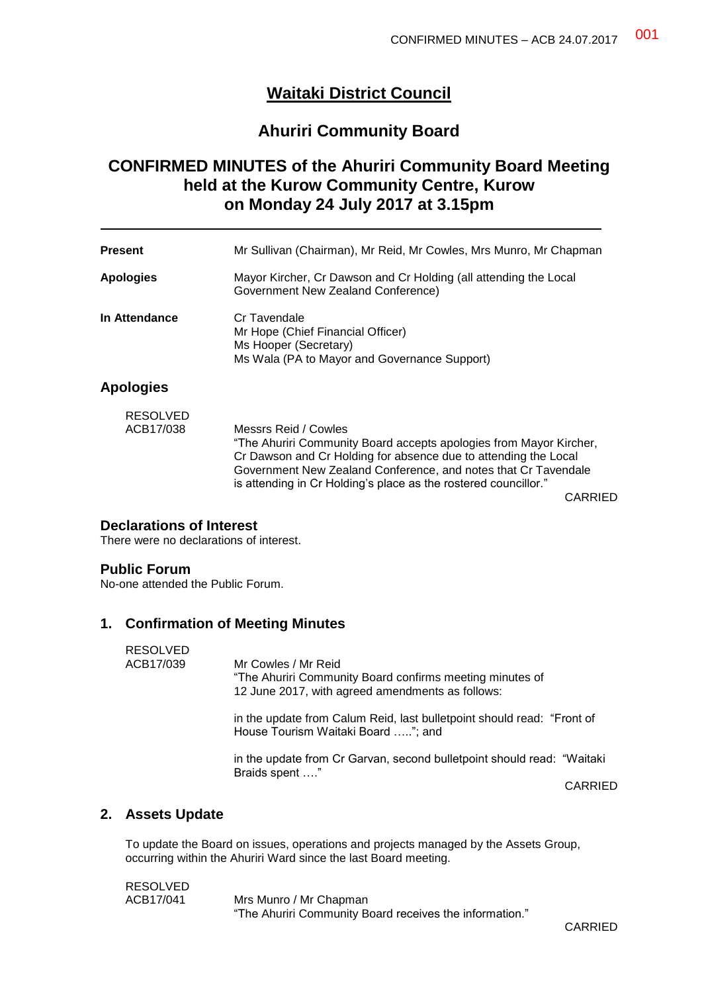# **Waitaki District Council**

# **Ahuriri Community Board**

# **CONFIRMED MINUTES of the Ahuriri Community Board Meeting held at the Kurow Community Centre, Kurow on Monday 24 July 2017 at 3.15pm**

| <b>Present</b>               | Mr Sullivan (Chairman), Mr Reid, Mr Cowles, Mrs Munro, Mr Chapman                                                                                                                                                                                                                                  |
|------------------------------|----------------------------------------------------------------------------------------------------------------------------------------------------------------------------------------------------------------------------------------------------------------------------------------------------|
| <b>Apologies</b>             | Mayor Kircher, Cr Dawson and Cr Holding (all attending the Local<br>Government New Zealand Conference)                                                                                                                                                                                             |
| In Attendance                | Cr Tavendale<br>Mr Hope (Chief Financial Officer)<br>Ms Hooper (Secretary)<br>Ms Wala (PA to Mayor and Governance Support)                                                                                                                                                                         |
| <b>Apologies</b>             |                                                                                                                                                                                                                                                                                                    |
| <b>RESOLVED</b><br>ACB17/038 | Messrs Reid / Cowles<br>"The Ahuriri Community Board accepts apologies from Mayor Kircher,<br>Cr Dawson and Cr Holding for absence due to attending the Local<br>Government New Zealand Conference, and notes that Cr Tavendale<br>is attending in Cr Holding's place as the rostered councillor." |

CARRIED

### **Declarations of Interest**

There were no declarations of interest.

### **Public Forum**

No-one attended the Public Forum.

### **1. Confirmation of Meeting Minutes**

| <b>RESOLVED</b><br>ACB17/039 | Mr Cowles / Mr Reid<br>"The Ahuriri Community Board confirms meeting minutes of<br>12 June 2017, with agreed amendments as follows: |                |
|------------------------------|-------------------------------------------------------------------------------------------------------------------------------------|----------------|
|                              | in the update from Calum Reid, last bulletpoint should read: "Front of<br>House Tourism Waitaki Board "; and                        |                |
|                              | in the update from Cr Garvan, second bulletpoint should read: "Waitaki<br>Braids spent "                                            |                |
|                              |                                                                                                                                     | <b>CARRIED</b> |
| A - - - 4 - 11 - 1 - 4 -     |                                                                                                                                     |                |

## **2. Assets Update**

To update the Board on issues, operations and projects managed by the Assets Group, occurring within the Ahuriri Ward since the last Board meeting.

RESOLVED ACB17/041 Mrs Munro / Mr Chapman "The Ahuriri Community Board receives the information."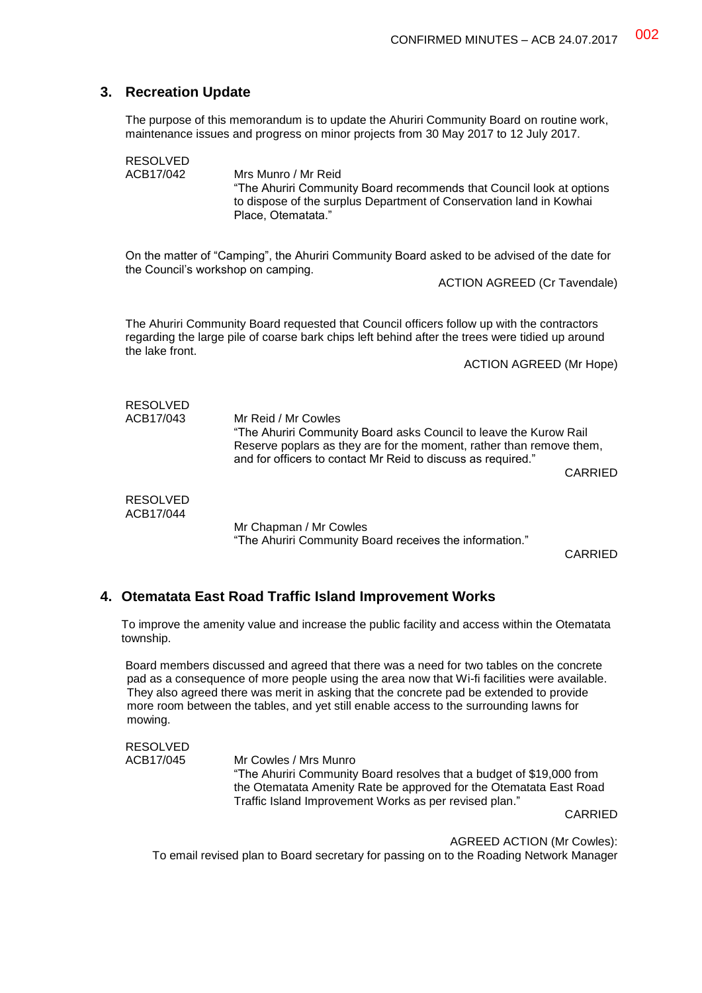## **3. Recreation Update**

The purpose of this memorandum is to update the Ahuriri Community Board on routine work, maintenance issues and progress on minor projects from 30 May 2017 to 12 July 2017.

RESOLVED<br>ACB17/042 Mrs Munro / Mr Reid "The Ahuriri Community Board recommends that Council look at options to dispose of the surplus Department of Conservation land in Kowhai Place, Otematata." On the matter of "Camping", the Ahuriri Community Board asked to be advised of the date for the Council's workshop on camping. ACTION AGREED (Cr Tavendale) The Ahuriri Community Board requested that Council officers follow up with the contractors regarding the large pile of coarse bark chips left behind after the trees were tidied up around the lake front. ACTION AGREED (Mr Hope) RESOLVED<br>ACB17/043 Mr Reid / Mr Cowles "The Ahuriri Community Board asks Council to leave the Kurow Rail Reserve poplars as they are for the moment, rather than remove them, and for officers to contact Mr Reid to discuss as required." CARRIED RESOLVED ACB17/044 Mr Chapman / Mr Cowles "The Ahuriri Community Board receives the information."

CARRIED

### **4. Otematata East Road Traffic Island Improvement Works**

To improve the amenity value and increase the public facility and access within the Otematata township.

Board members discussed and agreed that there was a need for two tables on the concrete pad as a consequence of more people using the area now that Wi-fi facilities were available. They also agreed there was merit in asking that the concrete pad be extended to provide more room between the tables, and yet still enable access to the surrounding lawns for mowing.

RESOLVED ACB17/045 Mr Cowles / Mrs Munro "The Ahuriri Community Board resolves that a budget of \$19,000 from the Otematata Amenity Rate be approved for the Otematata East Road Traffic Island Improvement Works as per revised plan." CARRIED

AGREED ACTION (Mr Cowles): To email revised plan to Board secretary for passing on to the Roading Network Manager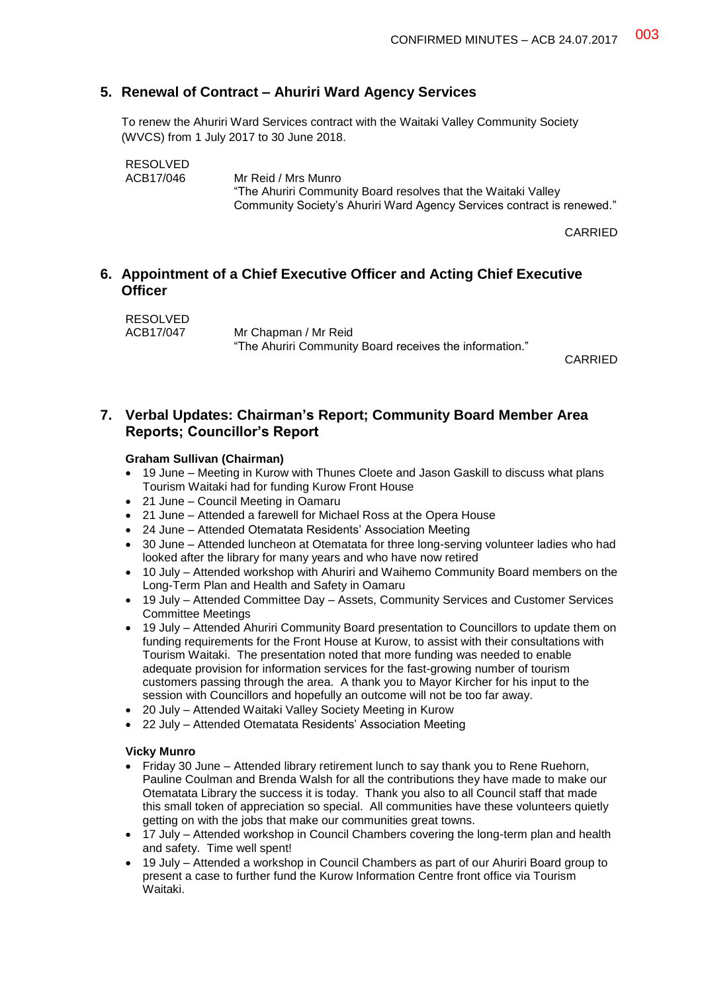# **5. Renewal of Contract – Ahuriri Ward Agency Services**

To renew the Ahuriri Ward Services contract with the Waitaki Valley Community Society (WVCS) from 1 July 2017 to 30 June 2018.

```
RESOLVED<br>ACB17/046
```
Mr Reid / Mrs Munro "The Ahuriri Community Board resolves that the Waitaki Valley Community Society's Ahuriri Ward Agency Services contract is renewed."

CARRIED

# **6. Appointment of a Chief Executive Officer and Acting Chief Executive Officer**

| RESOLVED  |                                                         |
|-----------|---------------------------------------------------------|
| ACB17/047 | Mr Chapman / Mr Reid                                    |
|           | "The Ahuriri Community Board receives the information." |

CARRIED

## **7. Verbal Updates: Chairman's Report; Community Board Member Area Reports; Councillor's Report**

### **Graham Sullivan (Chairman)**

- 19 June Meeting in Kurow with Thunes Cloete and Jason Gaskill to discuss what plans Tourism Waitaki had for funding Kurow Front House
- 21 June Council Meeting in Oamaru
- 21 June Attended a farewell for Michael Ross at the Opera House
- 24 June Attended Otematata Residents' Association Meeting
- 30 June Attended luncheon at Otematata for three long-serving volunteer ladies who had looked after the library for many years and who have now retired
- 10 July Attended workshop with Ahuriri and Waihemo Community Board members on the Long-Term Plan and Health and Safety in Oamaru
- 19 July Attended Committee Day Assets, Community Services and Customer Services Committee Meetings
- 19 July Attended Ahuriri Community Board presentation to Councillors to update them on funding requirements for the Front House at Kurow, to assist with their consultations with Tourism Waitaki. The presentation noted that more funding was needed to enable adequate provision for information services for the fast-growing number of tourism customers passing through the area. A thank you to Mayor Kircher for his input to the session with Councillors and hopefully an outcome will not be too far away.
- 20 July Attended Waitaki Valley Society Meeting in Kurow
- 22 July Attended Otematata Residents' Association Meeting

### **Vicky Munro**

- Friday 30 June Attended library retirement lunch to say thank you to Rene Ruehorn, Pauline Coulman and Brenda Walsh for all the contributions they have made to make our Otematata Library the success it is today. Thank you also to all Council staff that made this small token of appreciation so special. All communities have these volunteers quietly getting on with the jobs that make our communities great towns.
- 17 July Attended workshop in Council Chambers covering the long-term plan and health and safety. Time well spent!
- 19 July Attended a workshop in Council Chambers as part of our Ahuriri Board group to present a case to further fund the Kurow Information Centre front office via Tourism Waitaki.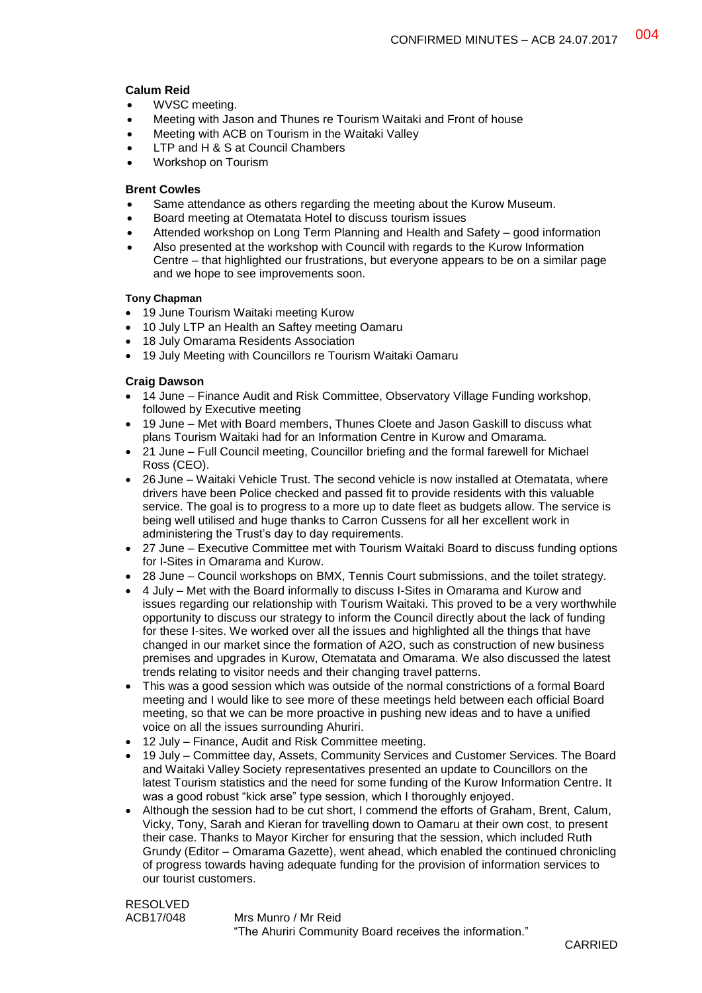### **Calum Reid**

- WVSC meeting.
- Meeting with Jason and Thunes re Tourism Waitaki and Front of house
- Meeting with ACB on Tourism in the Waitaki Valley
- LTP and H & S at Council Chambers
- Workshop on Tourism

#### **Brent Cowles**

- Same attendance as others regarding the meeting about the Kurow Museum.
- Board meeting at Otematata Hotel to discuss tourism issues
- Attended workshop on Long Term Planning and Health and Safety good information
- Also presented at the workshop with Council with regards to the Kurow Information Centre – that highlighted our frustrations, but everyone appears to be on a similar page and we hope to see improvements soon.

#### **Tony Chapman**

- 19 June Tourism Waitaki meeting Kurow
- 10 July LTP an Health an Saftey meeting Oamaru
- 18 July Omarama Residents Association
- 19 July Meeting with Councillors re Tourism Waitaki Oamaru

### **Craig Dawson**

- 14 June Finance Audit and Risk Committee, Observatory Village Funding workshop, followed by Executive meeting
- 19 June Met with Board members, Thunes Cloete and Jason Gaskill to discuss what plans Tourism Waitaki had for an Information Centre in Kurow and Omarama.
- 21 June Full Council meeting, Councillor briefing and the formal farewell for Michael Ross (CEO).
- 26 June Waitaki Vehicle Trust. The second vehicle is now installed at Otematata, where drivers have been Police checked and passed fit to provide residents with this valuable service. The goal is to progress to a more up to date fleet as budgets allow. The service is being well utilised and huge thanks to Carron Cussens for all her excellent work in administering the Trust's day to day requirements.
- 27 June Executive Committee met with Tourism Waitaki Board to discuss funding options for I-Sites in Omarama and Kurow.
- 28 June Council workshops on BMX, Tennis Court submissions, and the toilet strategy.
- 4 July Met with the Board informally to discuss I-Sites in Omarama and Kurow and issues regarding our relationship with Tourism Waitaki. This proved to be a very worthwhile opportunity to discuss our strategy to inform the Council directly about the lack of funding for these I-sites. We worked over all the issues and highlighted all the things that have changed in our market since the formation of A2O, such as construction of new business premises and upgrades in Kurow, Otematata and Omarama. We also discussed the latest trends relating to visitor needs and their changing travel patterns.
- This was a good session which was outside of the normal constrictions of a formal Board meeting and I would like to see more of these meetings held between each official Board meeting, so that we can be more proactive in pushing new ideas and to have a unified voice on all the issues surrounding Ahuriri.
- 12 July Finance, Audit and Risk Committee meeting.
- 19 July Committee day, Assets, Community Services and Customer Services. The Board and Waitaki Valley Society representatives presented an update to Councillors on the latest Tourism statistics and the need for some funding of the Kurow Information Centre. It was a good robust "kick arse" type session, which I thoroughly enjoyed.
- Although the session had to be cut short, I commend the efforts of Graham, Brent, Calum, Vicky, Tony, Sarah and Kieran for travelling down to Oamaru at their own cost, to present their case. Thanks to Mayor Kircher for ensuring that the session, which included Ruth Grundy (Editor – Omarama Gazette), went ahead, which enabled the continued chronicling of progress towards having adequate funding for the provision of information services to our tourist customers.

RESOLVED ACB17/048 Mrs Munro / Mr Reid "The Ahuriri Community Board receives the information."